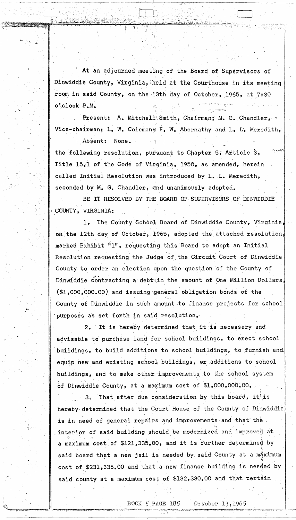At an adjourned meeting of the Board of Supervisors of Dinwiddie County, Virginia, held at the Courthouse in its meeting room in said County, on the 13th day of October, 1965, at 7:30 o'clock P.M.

Present: A. Mitchell Smith, Chairman; M. G. Chandler, Vice-chairman; L. W. Coleman; F. W. Abernathy and L. L. Meredith, Absent: None.

the following resolution, pursuant to Chapter 5, Article 3, Title 15.1 of the Code of Virginia, 1950, as amended, herein called Initial Resolution was introduced by L. L. Meredith, seconded by M. G. Chandler, and unanimously adopted.

BE IT RESOLVED BY THE BOARD OF SUPERVISORS OF DINWIDDIE COUNTY, VIRGINIA:

The County School Board of Dinwiddie County, Virginia,  $1.$ on the 12th day of October, 1965, adopted the attached resolution, marked Exhibit "1", requesting this Board to adopt an Initial Resolution requesting the Judge of the Circuit Court of Dinwiddie County to order an election upon the question of the County of Dinwiddie contracting a debt in the amount of One Million Dollars,  $(1,000,000,00)$  and issuing general obligation bonds of the County of Dinwiddie in such amount to finance projects for school purposes as set forth in said resolution.

2. It is hereby determined that it is necessary and advisable to purchase land for school buildings, to erect school buildings, to build additions to school buildings, to furnish and equip new and existing school buildings, or additions to school buildings, and to make other improvements to the school system of Dinwiddie County, at a maximum cost of \$1,000,000.00.

That after due consideration by this board, it is  $3\cdot$ hereby determined that the Court House of the County of Dinwiddie is in need of general repairs and improvements and that the interior of said building should be modernized and imp a maximum cost of \$121,335,00, and it is further determined by said board that a new jail is needed by said County at a maximum cost of \$231,335.00 and that a new finance building is needed by said county at a maximum cost of \$132,330.00 and that certain

## BOOK 5 PAGE 185

 $0$ ctober 13,1965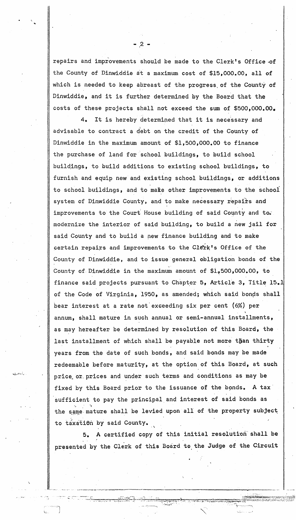repairs and improvements should be made to the Clerk's *Office* -of the County of Dinwiddie at a maximum cost of \$15,000.00, all of which is needed to keep abreast of the progress of the County of *Dinwiddie,* and *it* is further determined by the Board that the costs of these projects shall not exceed the sum of \$500,000.00.

4. It is hereby determined that it is necessary and advisable to contract a debt on the credit of the County of Dinwiddie in the maximum amount of \$1,500,000.00 to finance the purchase of land for school buildings, to build school bui14ings, to build additions to existing school buildings, to furnish and equip new and existing school buildings, or additions to school buildings, and to make other improvements to the school system of Dinwiddie County, and to make necessary repairs and<br>improvements to the Court House building of said County and to. modernize the interior of said building, to build a new jail for said County and to build a new finance building and to make certain repairs and improvements to the Clerk's Office of the County of Dinwiddie, and to issue general obligation bonds of the ~' County of, Dinwiddie in the maximum amount of \$1,,500,000.00, to finance said projects pursuant to Chapter 5, Article 3, Title 15.1 of the Code of Virginia, 1950, as amended; which said bonds shall bear interest at a rate not exceeding six per cent (6%) per annum, shall mature in such annual or semi-annual installments, as may hereafter be determined by resolution of this Board, the last installment of which shall be payable not more than thirty years from the date of such bonds, and said bonds may be made redeemable before maturity, at the option of this Board, at such price or prices and under such terms and conditions as may be fixed by this Board prior to the issuance of the bonds. A tax sufficient to pay the principal and interest of said bonds as the same mature shall be levied upon all of the property subject to taxatiôn by said County.

A certified copy of this initial resolution shall be presented by the Clerk of this Board to the Judge of the Circuit

**Server Start** 

اسد . ...دی

·u..,:..\! .. ,:,

\.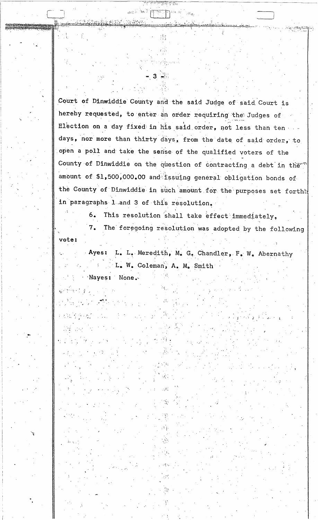Court of Dinwiddie County and the said Judge of said Court is hereby requested, to enter an order requiring the Judges of Election on a day fixed in his said order, not less than ten days, nor more than thirty days, from the date of said order, to open a poll and take the sense of the qualified voters of the County of Dinwiddie on the question of contracting a debt in the amount of \$1,500,000.00 and issuing general obligation bonds of the County of Dinwiddie in such amount for the purposes set forth! in paragraphs 1 and 3 of this resolution.

and let present

 $3 \div$ 

This resolution shall take effect immediately,  $6.$ 

The foregoing resolution was adopted by the following  $7.$ vote:

L. L. Meredith, M. G. Chandler, F. W. Abernathy Ayes: L. W. Coleman, A. M. Smith Nayes: None.

الشرار